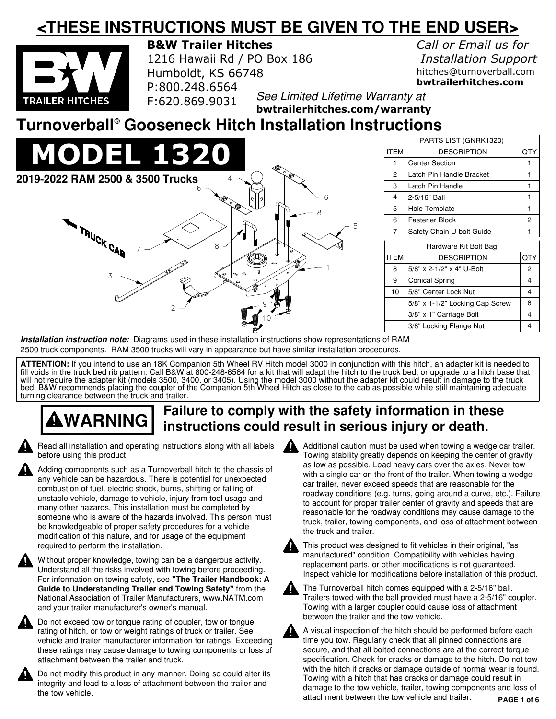### **<THESE INSTRUCTIONS MUST BE GIVEN TO THE END USER>**



**B&W Trailer Hitches**

1216 Hawaii Rd / PO Box 186 Humboldt, KS 66748 P:800.248.6564 F:620.869.9031

*Call or Email us for Installation Support* hitches@turnoverball.com **bwtrailerhitches.com**

*See Limited Lifetime Warranty at* 

**bwtrailerhitches.com/warranty**

#### **Turnoverball Gooseneck Hitch Installation Instructions ®**



| PARTS LIST (GNRK1320) |                                 |     |
|-----------------------|---------------------------------|-----|
| <b>ITEM</b>           | <b>DESCRIPTION</b>              | QTY |
| 1                     | <b>Center Section</b>           | 1   |
| $\overline{2}$        | Latch Pin Handle Bracket        | 1   |
| 3                     | Latch Pin Handle                | 1   |
| 4                     | 2-5/16" Ball                    | 1   |
| 5                     | Hole Template                   | 1   |
| 6                     | Fastener Block                  | 2   |
| $\overline{7}$        | Safety Chain U-bolt Guide       | 1   |
| Hardware Kit Bolt Bag |                                 |     |
| <b>ITEM</b>           | <b>DESCRIPTION</b>              | QTY |
| 8                     | 5/8" x 2-1/2" x 4" U-Bolt       | 2   |
| 9                     | <b>Conical Spring</b>           | 4   |
| 10                    | 5/8" Center Lock Nut            | 4   |
|                       | 5/8" x 1-1/2" Locking Cap Screw | 8   |
|                       | 3/8" x 1" Carriage Bolt         | 4   |
|                       | 3/8" Locking Flange Nut         | 4   |

**Installation instruction note:** Diagrams used in these installation instructions show representations of RAM 2500 truck components. RAM 3500 trucks will vary in appearance but have similar installation procedures.

**ATTENTION:** If you intend to use an 18K Companion 5th Wheel RV Hitch model 3000 in conjunction with this hitch, an adapter kit is needed to fill voids in the truck bed rib pattern. Call B&W at 800−248−6564 for a kit that will adapt the hitch to the truck bed, or upgrade to a hitch base that will not require the adapter kit (models 3500, 3400, or 3405). Using the model 3000 without the adapter kit could result in damage to the truck bed. B&W recommends placing the coupler of the Companion 5th Wheel Hitch as close to the cab as possible while still maintaining adequate turning clearance between the truck and trailer.

# **Failure to comply with the safety information in these WARNING instructions could result in serious injury or death.**



Read all installation and operating instructions along with all labels before using this product.

Adding components such as a Turnoverball hitch to the chassis of any vehicle can be hazardous. There is potential for unexpected combustion of fuel, electric shock, burns, shifting or falling of unstable vehicle, damage to vehicle, injury from tool usage and many other hazards. This installation must be completed by someone who is aware of the hazards involved. This person must be knowledgeable of proper safety procedures for a vehicle modification of this nature, and for usage of the equipment required to perform the installation.

Without proper knowledge, towing can be a dangerous activity. Understand all the risks involved with towing before proceeding. For information on towing safety, see **"The Trailer Handbook: A Guide to Understanding Trailer and Towing Safety"** from the National Association of Trailer Manufacturers, www.NATM.com and your trailer manufacturer's owner's manual.



Do not exceed tow or tongue rating of coupler, tow or tongue rating of hitch, or tow or weight ratings of truck or trailer. See vehicle and trailer manufacturer information for ratings. Exceeding these ratings may cause damage to towing components or loss of attachment between the trailer and truck.



Do not modify this product in any manner. Doing so could alter its integrity and lead to a loss of attachment between the trailer and the tow vehicle.



Additional caution must be used when towing a wedge car trailer. Towing stability greatly depends on keeping the center of gravity as low as possible. Load heavy cars over the axles. Never tow with a single car on the front of the trailer. When towing a wedge car trailer, never exceed speeds that are reasonable for the roadway conditions (e.g. turns, going around a curve, etc.). Failure to account for proper trailer center of gravity and speeds that are reasonable for the roadway conditions may cause damage to the truck, trailer, towing components, and loss of attachment between the truck and trailer.



This product was designed to fit vehicles in their original, "as manufactured" condition. Compatibility with vehicles having replacement parts, or other modifications is not guaranteed. Inspect vehicle for modifications before installation of this product.



The Turnoverball hitch comes equipped with a 2−5/16" ball. Trailers towed with the ball provided must have a 2−5/16" coupler. Towing with a larger coupler could cause loss of attachment between the trailer and the tow vehicle.

**PAGE 1 of 6** A visual inspection of the hitch should be performed before each time you tow. Regularly check that all pinned connections are secure, and that all bolted connections are at the correct torque specification. Check for cracks or damage to the hitch. Do not tow with the hitch if cracks or damage outside of normal wear is found. Towing with a hitch that has cracks or damage could result in damage to the tow vehicle, trailer, towing components and loss of attachment between the tow vehicle and trailer.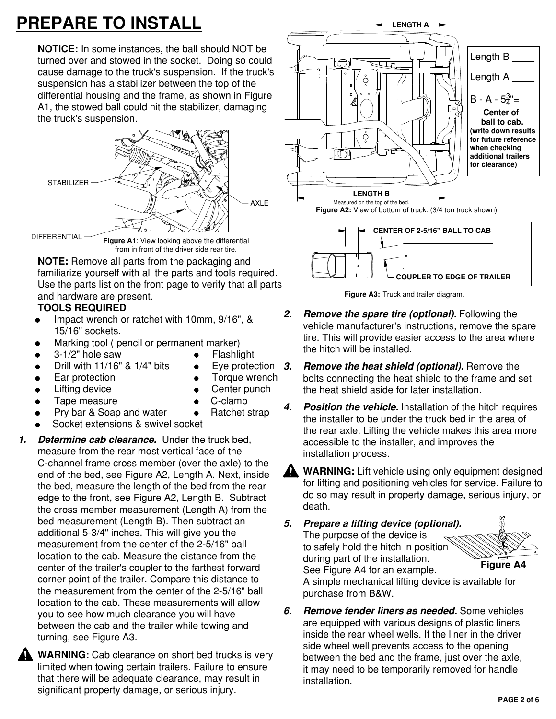# **PREPARE TO INSTALL**

**NOTICE:** In some instances, the ball should NOT be turned over and stowed in the socket. Doing so could cause damage to the truck's suspension. If the truck's suspension has a stabilizer between the top of the differential housing and the frame, as shown in Figure A1, the stowed ball could hit the stabilizer, damaging the truck's suspension.



**NOTE:** Remove all parts from the packaging and familiarize yourself with all the parts and tools required. Use the parts list on the front page to verify that all parts and hardware are present.

#### **TOOLS REQUIRED**

- Impact wrench or ratchet with 10mm, 9/16", & 15/16" sockets.
- Marking tool ( pencil or permanent marker)
- 3-1/2" hole saw **•** Flashlight
- Drill with  $11/16$ " &  $1/4$ " bits
- Ear protection **Conservation Conservation Conservation Conservation Conservation**
- Lifting device **Center punch**
- Tape measure e C-clamp
- Pry bar & Soap and water Ratchet strap
- Socket extensions & swivel socket
- **Determine cab clearance.** Under the truck bed, **1.** measure from the rear most vertical face of the C−channel frame cross member (over the axle) to the end of the bed, see Figure A2, Length A. Next, inside the bed, measure the length of the bed from the rear edge to the front, see Figure A2, Length B. Subtract the cross member measurement (Length A) from the bed measurement (Length B). Then subtract an additional 5−3/4" inches. This will give you the measurement from the center of the 2−5/16" ball location to the cab. Measure the distance from the center of the trailer's coupler to the farthest forward corner point of the trailer. Compare this distance to the measurement from the center of the 2−5/16" ball location to the cab. These measurements will allow you to see how much clearance you will have between the cab and the trailer while towing and turning, see Figure A3.
	- **WARNING:** Cab clearance on short bed trucks is very limited when towing certain trailers. Failure to ensure that there will be adequate clearance, may result in significant property damage, or serious injury.





**Figure A3:** Truck and trailer diagram.

- **Remove the spare tire (optional).** Following the vehicle manufacturer's instructions, remove the spare tire. This will provide easier access to the area where the hitch will be installed. **2.**
- **Remove the heat shield (optional).** Remove the bolts connecting the heat shield to the frame and set the heat shield aside for later installation. Eve protection 3.
	- **Position the vehicle.** Installation of the hitch requires the installer to be under the truck bed in the area of the rear axle. Lifting the vehicle makes this area more accessible to the installer, and improves the installation process. **4.**
		- **WARNING:** Lift vehicle using only equipment designed for lifting and positioning vehicles for service. Failure to do so may result in property damage, serious injury, or death.

**Prepare a lifting device (optional).** The purpose of the device is to safely hold the hitch in position during part of the installation. See Figure A4 for an example. **5.**



**Figure A4**

A simple mechanical lifting device is available for purchase from B&W.

**Remove fender liners as needed.** Some vehicles are equipped with various designs of plastic liners inside the rear wheel wells. If the liner in the driver side wheel well prevents access to the opening between the bed and the frame, just over the axle, it may need to be temporarily removed for handle installation. **6.**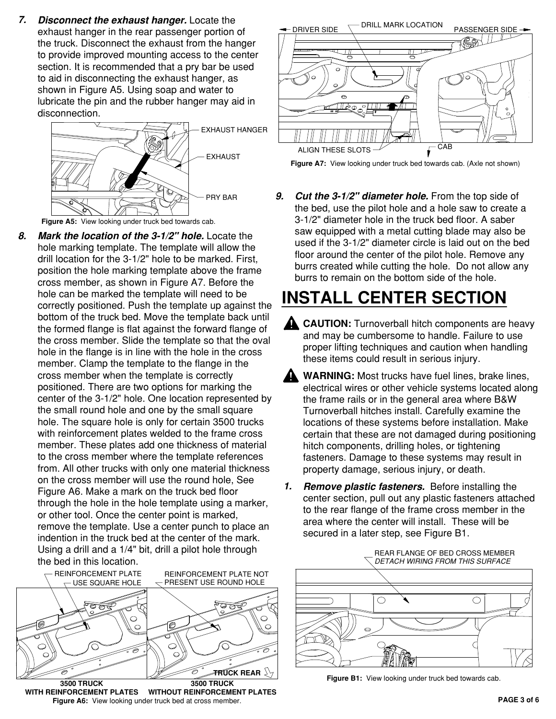**Disconnect the exhaust hanger.** Locate the exhaust hanger in the rear passenger portion of the truck. Disconnect the exhaust from the hanger to provide improved mounting access to the center section. It is recommended that a pry bar be used to aid in disconnecting the exhaust hanger, as shown in Figure A5. Using soap and water to lubricate the pin and the rubber hanger may aid in disconnection. **7.**



**Figure A5:** View looking under truck bed towards cab.

**Mark the location of the 3−1/2" hole.** Locate the hole marking template. The template will allow the drill location for the 3−1/2" hole to be marked. First, position the hole marking template above the frame cross member, as shown in Figure A7. Before the hole can be marked the template will need to be correctly positioned. Push the template up against the bottom of the truck bed. Move the template back until the formed flange is flat against the forward flange of the cross member. Slide the template so that the oval hole in the flange is in line with the hole in the cross member. Clamp the template to the flange in the cross member when the template is correctly positioned. There are two options for marking the center of the 3−1/2" hole. One location represented by the small round hole and one by the small square hole. The square hole is only for certain 3500 trucks with reinforcement plates welded to the frame cross member. These plates add one thickness of material to the cross member where the template references from. All other trucks with only one material thickness on the cross member will use the round hole, See Figure A6. Make a mark on the truck bed floor through the hole in the hole template using a marker, or other tool. Once the center point is marked, remove the template. Use a center punch to place an indention in the truck bed at the center of the mark. Using a drill and a 1/4" bit, drill a pilot hole through the bed in this location. **8.**



**Figure A6:** View looking under truck bed at cross member. **WITH REINFORCEMENT PLATES WITHOUT REINFORCEMENT PLATES**



**Figure A7:** View looking under truck bed towards cab. (Axle not shown)

**9. Cut the 3−1/2" diameter hole.** From the top side of the bed, use the pilot hole and a hole saw to create a 3−1/2" diameter hole in the truck bed floor. A saber saw equipped with a metal cutting blade may also be used if the 3−1/2" diameter circle is laid out on the bed floor around the center of the pilot hole. Remove any burrs created while cutting the hole. Do not allow any burrs to remain on the bottom side of the hole.

### **INSTALL CENTER SECTION**

- **CAUTION:** Turnoverball hitch components are heavy and may be cumbersome to handle. Failure to use proper lifting techniques and caution when handling these items could result in serious injury.
- **WARNING:** Most trucks have fuel lines, brake lines, electrical wires or other vehicle systems located along the frame rails or in the general area where B&W Turnoverball hitches install. Carefully examine the locations of these systems before installation. Make certain that these are not damaged during positioning hitch components, drilling holes, or tightening fasteners. Damage to these systems may result in property damage, serious injury, or death.
- **Remove plastic fasteners.** Before installing the center section, pull out any plastic fasteners attached to the rear flange of the frame cross member in the area where the center will install. These will be secured in a later step, see Figure B1. **1.**



**Figure B1:** View looking under truck bed towards cab.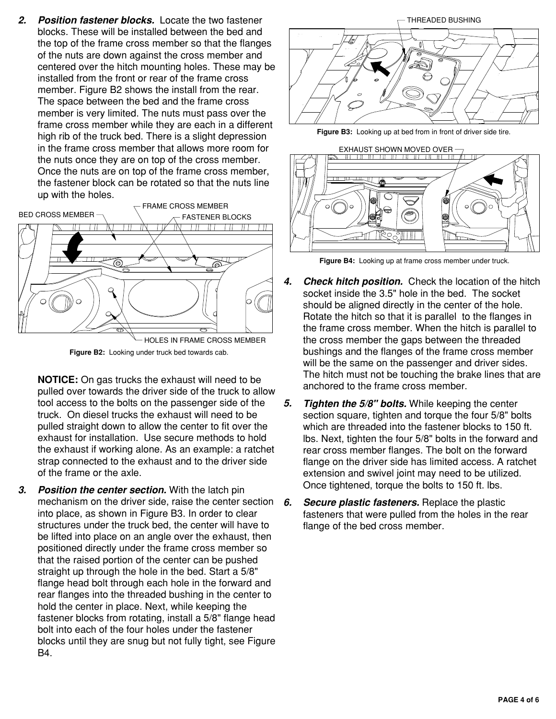**Position fastener blocks.** Locate the two fastener blocks. These will be installed between the bed and the top of the frame cross member so that the flanges of the nuts are down against the cross member and centered over the hitch mounting holes. These may be installed from the front or rear of the frame cross member. Figure B2 shows the install from the rear. The space between the bed and the frame cross member is very limited. The nuts must pass over the frame cross member while they are each in a different high rib of the truck bed. There is a slight depression in the frame cross member that allows more room for the nuts once they are on top of the cross member. Once the nuts are on top of the frame cross member, the fastener block can be rotated so that the nuts line up with the holes. **2.**



**Figure B2:** Looking under truck bed towards cab.

- **NOTICE:** On gas trucks the exhaust will need to be pulled over towards the driver side of the truck to allow tool access to the bolts on the passenger side of the truck. On diesel trucks the exhaust will need to be pulled straight down to allow the center to fit over the exhaust for installation. Use secure methods to hold the exhaust if working alone. As an example: a ratchet strap connected to the exhaust and to the driver side of the frame or the axle.
- **Position the center section.** With the latch pin mechanism on the driver side, raise the center section **6.** into place, as shown in Figure B3. In order to clear structures under the truck bed, the center will have to be lifted into place on an angle over the exhaust, then positioned directly under the frame cross member so that the raised portion of the center can be pushed straight up through the hole in the bed. Start a 5/8" flange head bolt through each hole in the forward and rear flanges into the threaded bushing in the center to hold the center in place. Next, while keeping the fastener blocks from rotating, install a 5/8" flange head bolt into each of the four holes under the fastener blocks until they are snug but not fully tight, see Figure B4. **3.**



**Figure B3:** Looking up at bed from in front of driver side tire.



**Figure B4:** Looking up at frame cross member under truck.

- **Check hitch position.** Check the location of the hitch socket inside the 3.5" hole in the bed. The socket should be aligned directly in the center of the hole. Rotate the hitch so that it is parallel to the flanges in the frame cross member. When the hitch is parallel to the cross member the gaps between the threaded bushings and the flanges of the frame cross member will be the same on the passenger and driver sides. The hitch must not be touching the brake lines that are anchored to the frame cross member. **4.**
- **Tighten the 5/8" bolts.** While keeping the center section square, tighten and torque the four 5/8" bolts which are threaded into the fastener blocks to 150 ft. lbs. Next, tighten the four 5/8" bolts in the forward and rear cross member flanges. The bolt on the forward flange on the driver side has limited access. A ratchet extension and swivel joint may need to be utilized. Once tightened, torque the bolts to 150 ft. lbs. **5.**
- **Secure plastic fasteners.** Replace the plastic fasteners that were pulled from the holes in the rear flange of the bed cross member.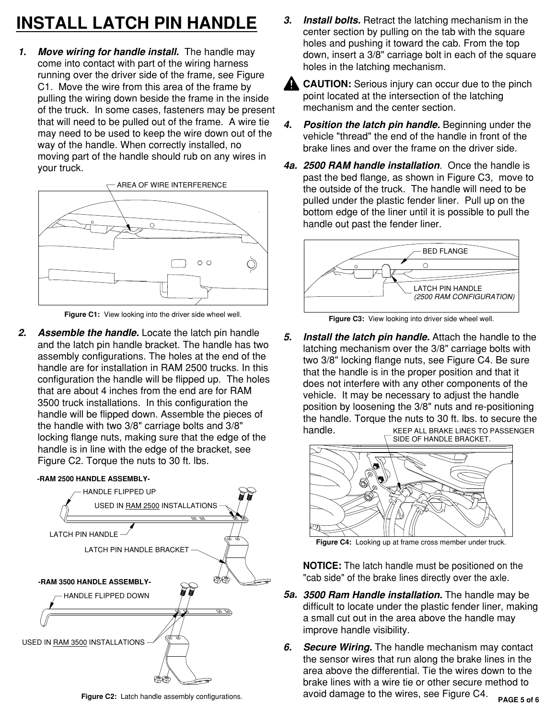# **3. INSTALL LATCH PIN HANDLE**

**Move wiring for handle install.** The handle may come into contact with part of the wiring harness running over the driver side of the frame, see Figure C1. Move the wire from this area of the frame by pulling the wiring down beside the frame in the inside of the truck. In some cases, fasteners may be present that will need to be pulled out of the frame. A wire tie may need to be used to keep the wire down out of the way of the handle. When correctly installed, no moving part of the handle should rub on any wires in your truck. **1.**



**Figure C1:** View looking into the driver side wheel well. **Figure C3:** View looking into driver side wheel well.

**2. Assemble the handle.** Locate the latch pin handle and the latch pin handle bracket. The handle has two assembly configurations. The holes at the end of the handle are for installation in RAM 2500 trucks. In this configuration the handle will be flipped up. The holes that are about 4 inches from the end are for RAM 3500 truck installations. In this configuration the handle will be flipped down. Assemble the pieces of the handle with two 3/8" carriage bolts and 3/8" locking flange nuts, making sure that the edge of the handle is in line with the edge of the bracket, see Figure C2. Torque the nuts to 30 ft. lbs.

#### **−RAM 2500 HANDLE ASSEMBLY−**



**Figure C2:** Latch handle assembly configurations.

**Install bolts.** Retract the latching mechanism in the center section by pulling on the tab with the square holes and pushing it toward the cab. From the top down, insert a 3/8" carriage bolt in each of the square holes in the latching mechanism.



**CAUTION:** Serious injury can occur due to the pinch point located at the intersection of the latching mechanism and the center section.

- **Position the latch pin handle.** Beginning under the vehicle "thread" the end of the handle in front of the brake lines and over the frame on the driver side. **4.**
- **2500 RAM handle installation**. Once the handle is **4a.** past the bed flange, as shown in Figure C3, move to the outside of the truck. The handle will need to be pulled under the plastic fender liner. Pull up on the bottom edge of the liner until it is possible to pull the handle out past the fender liner.



**Install the latch pin handle.** Attach the handle to the latching mechanism over the 3/8" carriage bolts with two 3/8" locking flange nuts, see Figure C4. Be sure that the handle is in the proper position and that it does not interfere with any other components of the vehicle. It may be necessary to adjust the handle position by loosening the 3/8" nuts and re−positioning the handle. Torque the nuts to 30 ft. lbs. to secure the handle. **5.** KEEP ALL BRAKE LINES TO PASSENGER SIDE OF HANDLE BRACKET.



**Figure C4:** Looking up at frame cross member under truck.

**NOTICE:** The latch handle must be positioned on the "cab side" of the brake lines directly over the axle.

- **3500 Ram Handle installation.** The handle may be **5a.** difficult to locate under the plastic fender liner, making a small cut out in the area above the handle may improve handle visibility.
- **PAGE 5 of 6 Secure Wiring.** The handle mechanism may contact the sensor wires that run along the brake lines in the area above the differential. Tie the wires down to the brake lines with a wire tie or other secure method to avoid damage to the wires, see Figure C4. **6.**